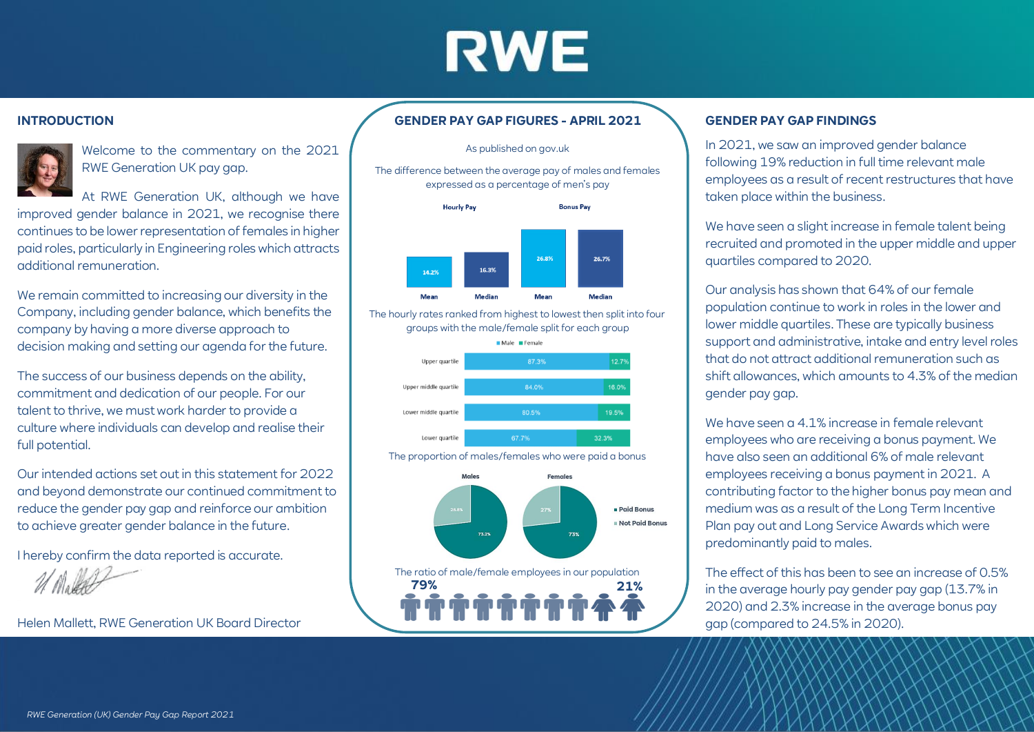# **RWE**

### **INTRODUCTION**



Welcome to the commentary on the 2021 RWE Generation UK pay gap.

At RWE Generation UK, although we have improved gender balance in 2021, we recognise there continues to be lower representation of females in higher paid roles, particularly in Engineering roles which attracts additional remuneration.

We remain committed to increasing our diversity in the Company, including gender balance, which benefits the company by having a more diverse approach to decision making and setting our agenda for the future.

The success of our business depends on the ability, commitment and dedication of our people. For our talent to thrive, we must work harder to provide a culture where individuals can develop and realise their full potential.

Our intended actions set out in this statement for 2022 and beyond demonstrate our continued commitment to reduce the gender pay gap and reinforce our ambition to achieve greater gender balance in the future.

I hereby confirm the data reported is accurate.

$$
\mathscr{U}(\mathbb{N}_0\mathbb{R})
$$

Helen Mallett, RWE Generation UK Board Director

## **GENDER PAY GAP FIGURES - APRIL 2021**

#### As published on gov.uk

The difference between the average pay of males and females expressed as a percentage of men's pay



The hourly rates ranked from highest to lowest then split into four groups with the male/female split for each group



The proportion of males/females who were paid a bonus



## **GENDER PAY GAP FINDINGS**

In 2021, we saw an improved gender balance following 19% reduction in full time relevant male employees as a result of recent restructures that have taken place within the business.

We have seen a slight increase in female talent being recruited and promoted in the upper middle and upper quartiles compared to 2020.

Our analysis has shown that 64% of our female population continue to work in roles in the lower and lower middle quartiles. These are typically business support and administrative, intake and entry level roles that do not attract additional remuneration such as shift allowances, which amounts to 4.3% of the median gender pay gap.

We have seen a 4.1% increase in female relevant employees who are receiving a bonus payment. We have also seen an additional 6% of male relevant employees receiving a bonus payment in 2021. A contributing factor to the higher bonus pay mean and medium was as a result of the Long Term Incentive Plan pay out and Long Service Awards which were predominantly paid to males.

The effect of this has been to see an increase of 0.5% in the average hourly pay gender pay gap (13.7% in 2020) and 2.3% increase in the average bonus pay gap (compared to 24.5% in 2020).